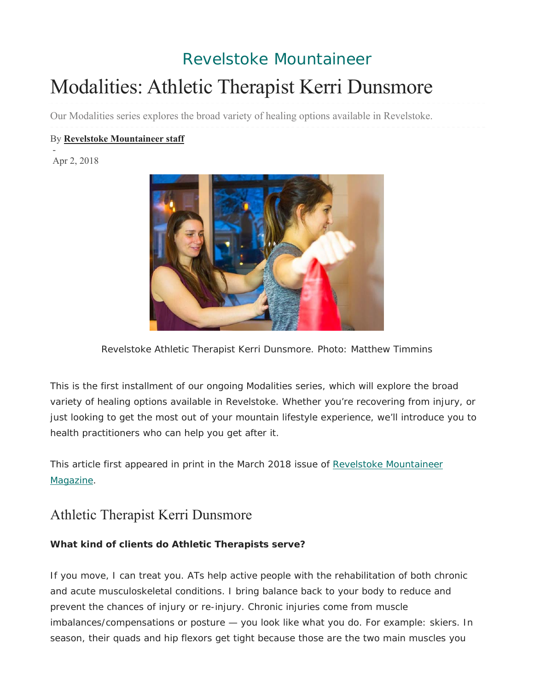## Revelstoke Mountaineer

# Modalities: Athletic Therapist Kerri Dunsmore

Our Modalities series explores the broad variety of healing options available in Revelstoke.

#### By **Revelstoke Mountaineer staff**

Apr 2, 2018

-



Revelstoke Athletic Therapist Kerri Dunsmore. Photo: Matthew Timmins

*This is the first installment of our ongoing Modalities series, which will explore the broad*  variety of healing options available in Revelstoke. Whether you're recovering from injury, or *just looking to get the most out of your mountain lifestyle experience, we'll introduce you to health practitioners who can help you get after it.*

This article first appeared in print in the March 2018 issue of *Revelstoke Mountaineer Magazine*.

## Athletic Therapist Kerri Dunsmore

#### **What kind of clients do Athletic Therapists serve?**

If you move, I can treat you. ATs help active people with the rehabilitation of both chronic and acute musculoskeletal conditions. I bring balance back to your body to reduce and prevent the chances of injury or re-injury. Chronic injuries come from muscle imbalances/compensations or posture — you look like what you do. For example: skiers. In season, their quads and hip flexors get tight because those are the two main muscles you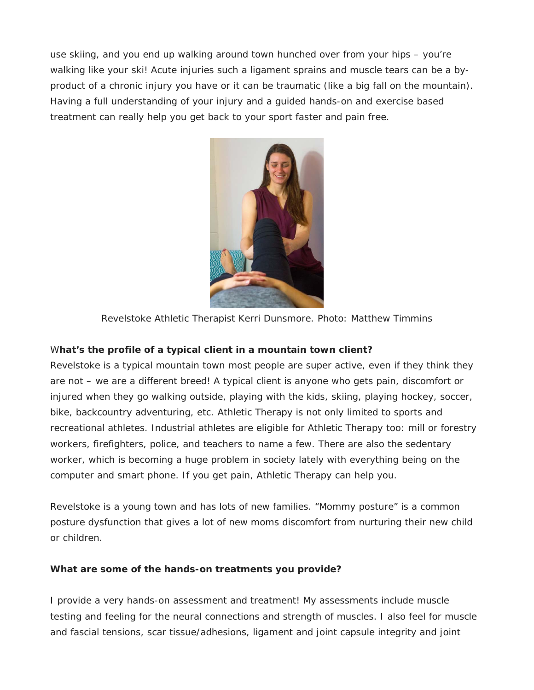use skiing, and you end up walking around town hunched over from your hips – you're walking like your ski! Acute injuries such a ligament sprains and muscle tears can be a byproduct of a chronic injury you have or it can be traumatic (like a big fall on the mountain). Having a full understanding of your injury and a guided hands-on and exercise based treatment can really help you get back to your sport faster and pain free.



Revelstoke Athletic Therapist Kerri Dunsmore. Photo: Matthew Timmins

#### W**hat's the profile of a typical client in a mountain town client?**

Revelstoke is a typical mountain town most people are super active, even if they think they are not – we are a different breed! A typical client is anyone who gets pain, discomfort or injured when they go walking outside, playing with the kids, skiing, playing hockey, soccer, bike, backcountry adventuring, etc. Athletic Therapy is not only limited to sports and recreational athletes. Industrial athletes are eligible for Athletic Therapy too: mill or forestry workers, firefighters, police, and teachers to name a few. There are also the sedentary worker, which is becoming a huge problem in society lately with everything being on the computer and smart phone. If you get pain, Athletic Therapy can help you.

Revelstoke is a young town and has lots of new families. "Mommy posture" is a common posture dysfunction that gives a lot of new moms discomfort from nurturing their new child or children.

#### **What are some of the hands-on treatments you provide?**

I provide a very hands-on assessment and treatment! My assessments include muscle testing and feeling for the neural connections and strength of muscles. I also feel for muscle and fascial tensions, scar tissue/adhesions, ligament and joint capsule integrity and joint